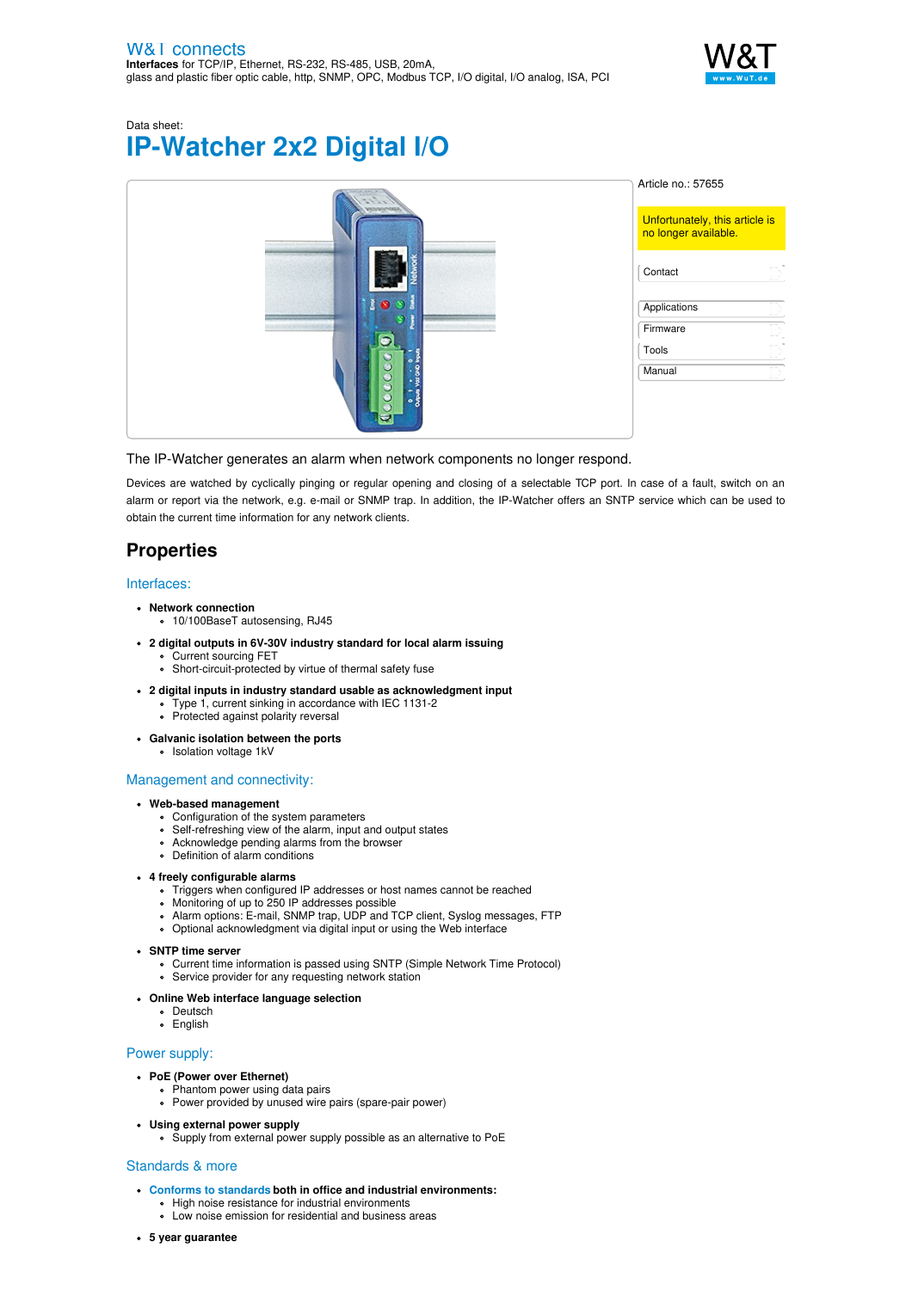

Data sheet: **IP-Watcher 2x2 Digital I/O**

|                     | Article no.: 57655                                     |
|---------------------|--------------------------------------------------------|
| manonoss            | Unfortunately, this article is<br>no longer available. |
|                     | D)<br>Contact                                          |
|                     | Applications                                           |
| Л                   | Firmware<br>m,<br>c. Z                                 |
|                     | $\sim$<br>Tools<br>$\mathcal{L} \cup \mathcal{C}$      |
| 9                   | Manual<br>Ð                                            |
| $\frac{1}{2}$<br>a, |                                                        |
|                     |                                                        |

### The IP-Watcher generates an alarm when network components no longer respond.

Devices are watched by cyclically pinging or regular opening and closing of a selectable TCP port. In case of a fault, switch on an alarm or report via the network, e.g. e-mail or SNMP trap. In addition, the IP-Watcher offers an SNTP service which can be used to obtain the current time information for any network clients.

# **Properties**

### Interfaces:

- **Network connection**
	- 10/100BaseT autosensing, RJ45
- **2 digital outputs in 6V-30V industry standard for local alarm issuing** Current sourcing FET
	- Short-circuit-protected by virtue of thermal safety fuse
- **2 digital inputs in industry standard usable as acknowledgment input**
	- Type 1, current sinking in accordance with IEC 1131-2
	- Protected against polarity reversal
- **Galvanic isolation between the ports**
	- Isolation voltage 1kV

#### Management and connectivity:

#### **Web-based management**

- Configuration of the system parameters
- Self-refreshing view of the alarm, input and output states
- Acknowledge pending alarms from the browser
- Definition of alarm conditions

#### **4 freely configurable alarms**

- Triggers when configured IP addresses or host names cannot be reached
- Monitoring of up to 250 IP addresses possible
- Alarm options: E-mail, SNMP trap, UDP and TCP client, Syslog messages, FTP
- Optional acknowledgment via digital input or using the Web interface

#### **SNTP time server**

- .... The cerre.<br>• Current time information is passed using SNTP (Simple Network Time Protocol)
- Service provider for any requesting network station

#### **Online Web interface language selection**

- Deutsch
- English

#### Power supply:

- **PoE (Power over Ethernet)**
	- **Phantom power using data pairs**
	- Power provided by unused wire pairs (spare-pair power)
- **Using external power supply**
	- Supply from external power supply possible as an alternative to PoE

#### Standards & more

- **Conforms to [standards](https://www.wut.de/download/ce/e-57655-10-rdus-000.pdf) both in office and industrial environments:**
	- **High noise resistance for industrial environments**
	- Low noise emission for residential and business areas
- **5 year guarantee**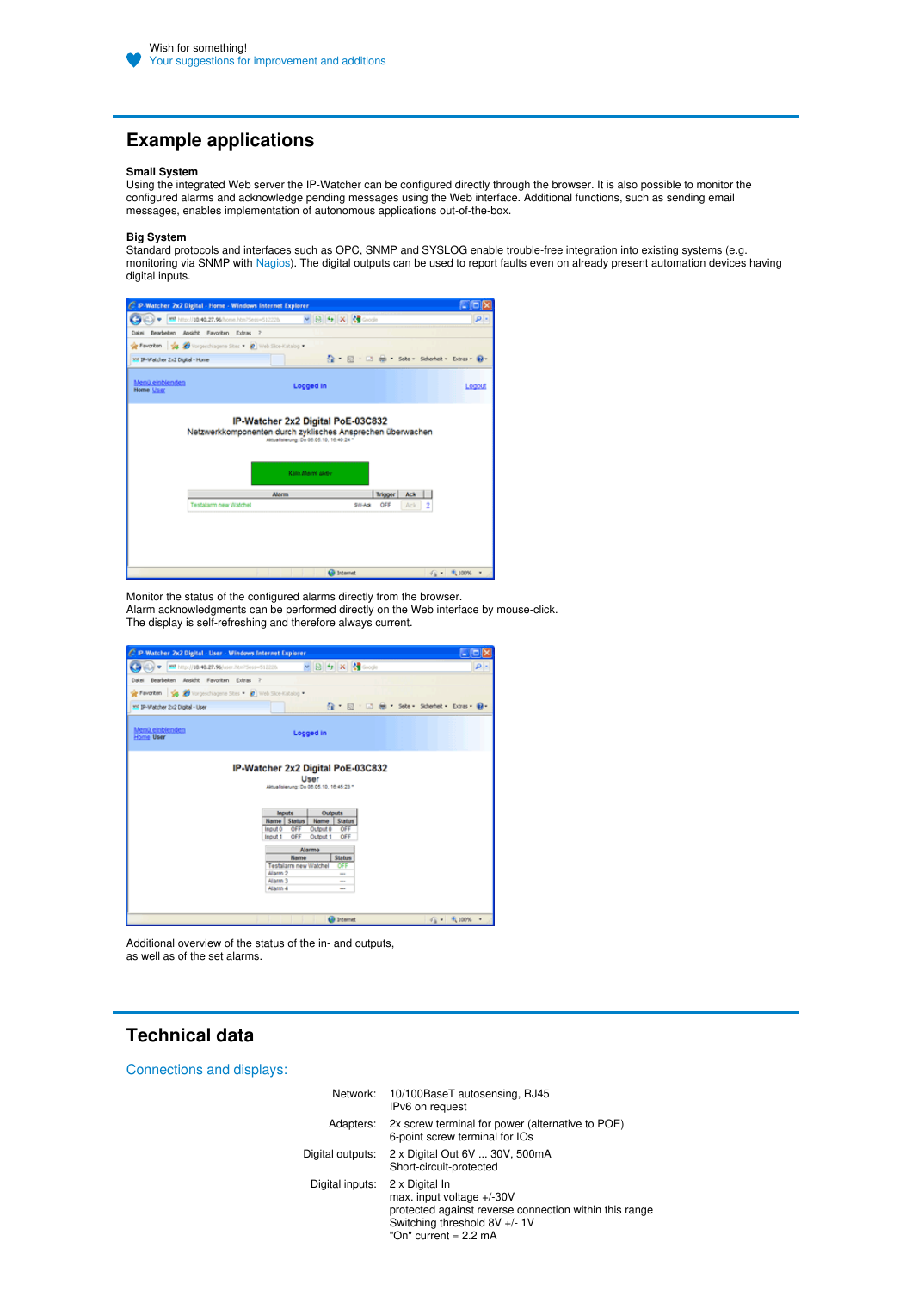## **Example applications**

#### **Small System**

Using the integrated Web server the IP-Watcher can be configured directly through the browser. It is also possible to monitor the configured alarms and acknowledge pending messages using the Web interface. Additional functions, such as sending email messages, enables implementation of autonomous applications out-of-the-box.

#### **Big System**

Standard protocols and interfaces such as OPC, SNMP and SYSLOG enable trouble-free integration into existing systems (e.g. monitoring via SNMP with [Nagios](https://www.nagios.org)). The digital outputs can be used to report faults even on already present automation devices having digital inputs.



Monitor the status of the configured alarms directly from the browser. Alarm acknowledgments can be performed directly on the Web interface by mouse-click. The display is self-refreshing and therefore always current.



Additional overview of the status of the in- and outputs, as well as of the set alarms.

### **Technical data**

Connections and displays:

|                  | Network: 10/100BaseT autosensing, RJ45<br>IPv6 on request                                                                                                                 |
|------------------|---------------------------------------------------------------------------------------------------------------------------------------------------------------------------|
|                  | Adapters: 2x screw terminal for power (alternative to POE)<br>6-point screw terminal for IOs                                                                              |
| Digital outputs: | 2 x Digital Out 6V  30V, 500mA<br>Short-circuit-protected                                                                                                                 |
| Digital inputs:  | 2 x Digital In<br>max. input voltage +/-30V<br>protected against reverse connection within this range<br>Switching threshold 8V +/- 1V<br>"On" current = $2.2 \text{ mA}$ |